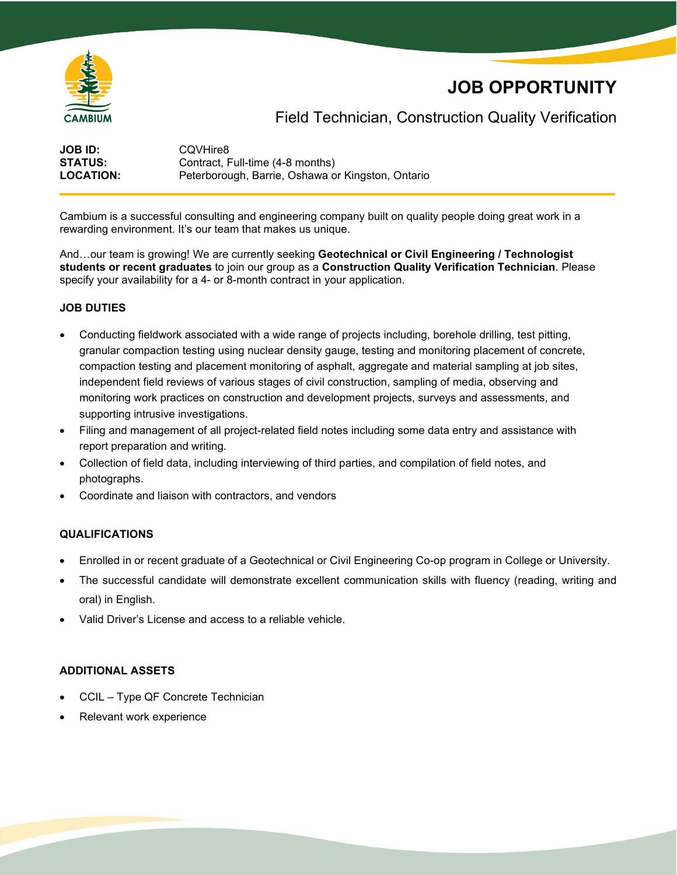

# **JOB OPPORTUNITY**

## Field Technician, Construction Quality Verification

**JOB ID:** CQVHire8<br> **STATUS:** Contract. F **STATUS:** Contract, Full-time (4-8 months)<br> **LOCATION:** Peterborough. Barrie. Oshawa o Peterborough, Barrie, Oshawa or Kingston, Ontario

Cambium is a successful consulting and engineering company built on quality people doing great work in a rewarding environment. It's our team that makes us unique.

And…our team is growing! We are currently seeking **Geotechnical or Civil Engineering / Technologist students or recent graduates** to join our group as a **Construction Quality Verification Technician**. Please specify your availability for a 4- or 8-month contract in your application.

### **JOB DUTIES**

- Conducting fieldwork associated with a wide range of projects including, borehole drilling, test pitting, granular compaction testing using nuclear density gauge, testing and monitoring placement of concrete, compaction testing and placement monitoring of asphalt, aggregate and material sampling at job sites, independent field reviews of various stages of civil construction, sampling of media, observing and monitoring work practices on construction and development projects, surveys and assessments, and supporting intrusive investigations.
- Filing and management of all project-related field notes including some data entry and assistance with report preparation and writing.
- Collection of field data, including interviewing of third parties, and compilation of field notes, and photographs.
- Coordinate and liaison with contractors, and vendors

#### **QUALIFICATIONS**

- Enrolled in or recent graduate of a Geotechnical or Civil Engineering Co-op program in College or University.
- The successful candidate will demonstrate excellent communication skills with fluency (reading, writing and oral) in English.
- Valid Driver's License and access to a reliable vehicle.

### **ADDITIONAL ASSETS**

- CCIL Type QF Concrete Technician
- Relevant work experience